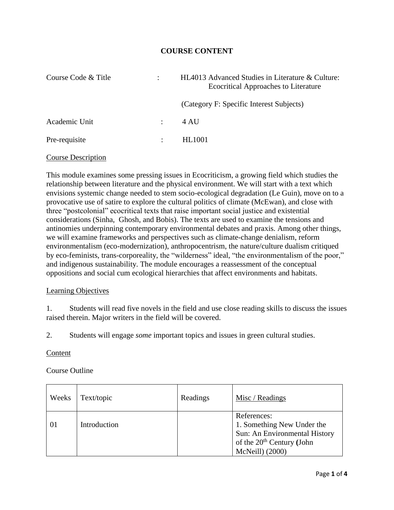# **COURSE CONTENT**

| Course Code & Title |                           | HL4013 Advanced Studies in Literature & Culture:<br><b>Ecocritical Approaches to Literature</b> |  |
|---------------------|---------------------------|-------------------------------------------------------------------------------------------------|--|
|                     |                           | (Category F: Specific Interest Subjects)                                                        |  |
| Academic Unit       | $\mathbb{R}^{\mathbb{Z}}$ | 4 AU                                                                                            |  |
| Pre-requisite       | $\ddot{\cdot}$            | <b>HL1001</b>                                                                                   |  |

## Course Description

This module examines some pressing issues in Ecocriticism, a growing field which studies the relationship between literature and the physical environment. We will start with a text which envisions systemic change needed to stem socio-ecological degradation (Le Guin), move on to a provocative use of satire to explore the cultural politics of climate (McEwan), and close with three "postcolonial" ecocritical texts that raise important social justice and existential considerations (Sinha, Ghosh, and Bobis). The texts are used to examine the tensions and antinomies underpinning contemporary environmental debates and praxis. Among other things, we will examine frameworks and perspectives such as climate-change denialism, reform environmentalism (eco-modernization), anthropocentrism, the nature/culture dualism critiqued by eco-feminists, trans-corporeality, the "wilderness" ideal, "the environmentalism of the poor," and indigenous sustainability. The module encourages a reassessment of the conceptual oppositions and social cum ecological hierarchies that affect environments and habitats.

### Learning Objectives

1. Students will read five novels in the field and use close reading skills to discuss the issues raised therein. Major writers in the field will be covered.

2. Students will engage *some* important topics and issues in green cultural studies.

### Content

## Course Outline

| Weeks | Text/topic   | Readings | Misc / Readings                                                                                                                        |
|-------|--------------|----------|----------------------------------------------------------------------------------------------------------------------------------------|
| 01    | Introduction |          | References:<br>1. Something New Under the<br>Sun: An Environmental History<br>of the 20 <sup>th</sup> Century (John<br>McNeill) (2000) |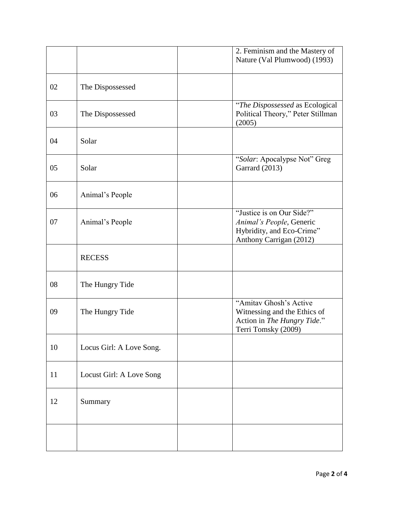|    |                          | 2. Feminism and the Mastery of<br>Nature (Val Plumwood) (1993)                                                |
|----|--------------------------|---------------------------------------------------------------------------------------------------------------|
| 02 | The Dispossessed         |                                                                                                               |
| 03 | The Dispossessed         | "The Dispossessed as Ecological<br>Political Theory," Peter Stillman<br>(2005)                                |
| 04 | Solar                    |                                                                                                               |
| 05 | Solar                    | "Solar: Apocalypse Not" Greg<br>Garrard (2013)                                                                |
| 06 | Animal's People          |                                                                                                               |
| 07 | Animal's People          | "Justice is on Our Side?"<br>Animal's People, Generic<br>Hybridity, and Eco-Crime"<br>Anthony Carrigan (2012) |
|    | <b>RECESS</b>            |                                                                                                               |
| 08 | The Hungry Tide          |                                                                                                               |
| 09 | The Hungry Tide          | "Amitav Ghosh's Active<br>Witnessing and the Ethics of<br>Action in The Hungry Tide."<br>Terri Tomsky (2009)  |
| 10 | Locus Girl: A Love Song. |                                                                                                               |
| 11 | Locust Girl: A Love Song |                                                                                                               |
| 12 | Summary                  |                                                                                                               |
|    |                          |                                                                                                               |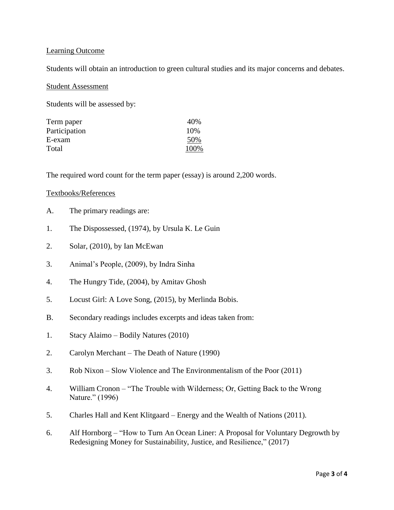## Learning Outcome

Students will obtain an introduction to green cultural studies and its major concerns and debates.

### Student Assessment

Students will be assessed by:

| Term paper    | 40%  |
|---------------|------|
| Participation | 10%  |
| E-exam        | 50%  |
| Total         | 100% |

The required word count for the term paper (essay) is around 2,200 words.

### Textbooks/References

- A. The primary readings are:
- 1. The Dispossessed, (1974), by Ursula K. Le Guin
- 2. Solar, (2010), by Ian McEwan
- 3. Animal's People, (2009), by Indra Sinha
- 4. The Hungry Tide, (2004), by Amitav Ghosh
- 5. Locust Girl: A Love Song, (2015), by Merlinda Bobis.
- B. Secondary readings includes excerpts and ideas taken from:
- 1. Stacy Alaimo Bodily Natures (2010)
- 2. Carolyn Merchant The Death of Nature (1990)
- 3. Rob Nixon Slow Violence and The Environmentalism of the Poor (2011)
- 4. William Cronon "The Trouble with Wilderness; Or, Getting Back to the Wrong Nature." (1996)
- 5. Charles Hall and Kent Klitgaard Energy and the Wealth of Nations (2011).
- 6. Alf Hornborg "How to Turn An Ocean Liner: A Proposal for Voluntary Degrowth by Redesigning Money for Sustainability, Justice, and Resilience," (2017)